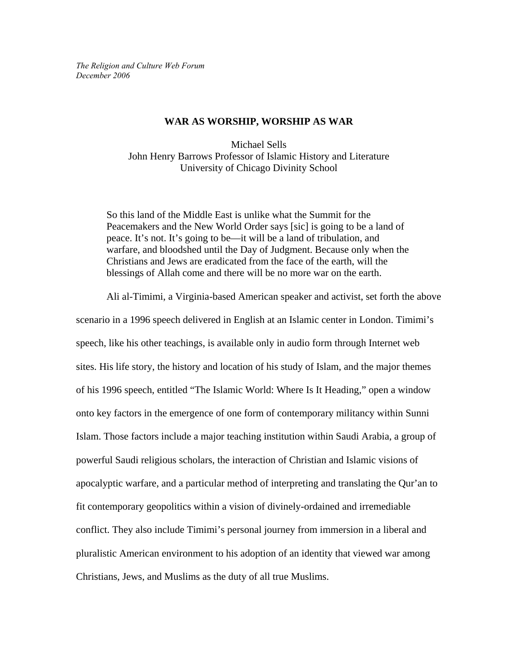*The Religion and Culture Web Forum December 2006* 

### **WAR AS WORSHIP, WORSHIP AS WAR**

Michael Sells John Henry Barrows Professor of Islamic History and Literature University of Chicago Divinity School

So this land of the Middle East is unlike what the Summit for the Peacemakers and the New World Order says [sic] is going to be a land of peace. It's not. It's going to be—it will be a land of tribulation, and warfare, and bloodshed until the Day of Judgment. Because only when the Christians and Jews are eradicated from the face of the earth, will the blessings of Allah come and there will be no more war on the earth.

Ali al-Timimi, a Virginia-based American speaker and activist, set forth the above

scenario in a 1996 speech delivered in English at an Islamic center in London. Timimi's speech, like his other teachings, is available only in audio form through Internet web sites. His life story, the history and location of his study of Islam, and the major themes of his 1996 speech, entitled "The Islamic World: Where Is It Heading," open a window onto key factors in the emergence of one form of contemporary militancy within Sunni Islam. Those factors include a major teaching institution within Saudi Arabia, a group of powerful Saudi religious scholars, the interaction of Christian and Islamic visions of apocalyptic warfare, and a particular method of interpreting and translating the Qur'an to fit contemporary geopolitics within a vision of divinely-ordained and irremediable conflict. They also include Timimi's personal journey from immersion in a liberal and pluralistic American environment to his adoption of an identity that viewed war among Christians, Jews, and Muslims as the duty of all true Muslims.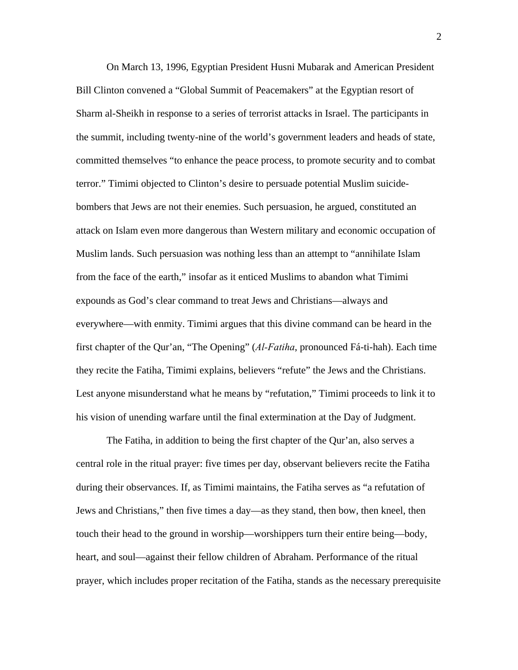On March 13, 1996, Egyptian President Husni Mubarak and American President Bill Clinton convened a "Global Summit of Peacemakers" at the Egyptian resort of Sharm al-Sheikh in response to a series of terrorist attacks in Israel. The participants in the summit, including twenty-nine of the world's government leaders and heads of state, committed themselves "to enhance the peace process, to promote security and to combat terror." Timimi objected to Clinton's desire to persuade potential Muslim suicidebombers that Jews are not their enemies. Such persuasion, he argued, constituted an attack on Islam even more dangerous than Western military and economic occupation of Muslim lands. Such persuasion was nothing less than an attempt to "annihilate Islam from the face of the earth," insofar as it enticed Muslims to abandon what Timimi expounds as God's clear command to treat Jews and Christians—always and everywhere—with enmity. Timimi argues that this divine command can be heard in the first chapter of the Qur'an, "The Opening" (*Al-Fatiha*, pronounced Fá-ti-hah). Each time they recite the Fatiha, Timimi explains, believers "refute" the Jews and the Christians. Lest anyone misunderstand what he means by "refutation," Timimi proceeds to link it to his vision of unending warfare until the final extermination at the Day of Judgment.

 The Fatiha, in addition to being the first chapter of the Qur'an, also serves a central role in the ritual prayer: five times per day, observant believers recite the Fatiha during their observances. If, as Timimi maintains, the Fatiha serves as "a refutation of Jews and Christians," then five times a day—as they stand, then bow, then kneel, then touch their head to the ground in worship—worshippers turn their entire being—body, heart, and soul—against their fellow children of Abraham. Performance of the ritual prayer, which includes proper recitation of the Fatiha, stands as the necessary prerequisite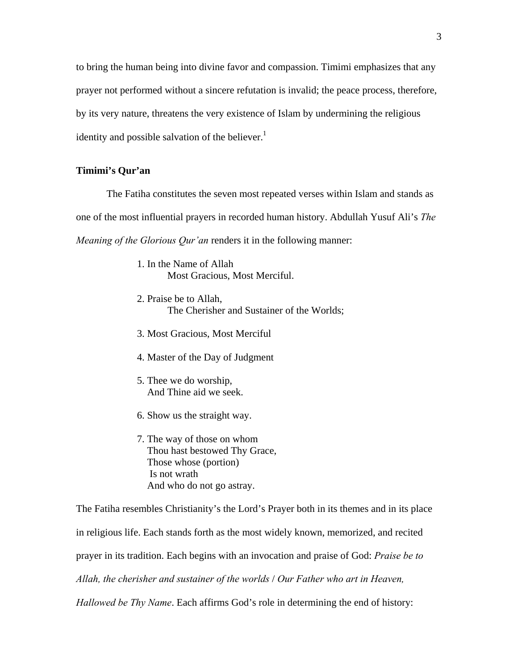to bring the human being into divine favor and compassion. Timimi emphasizes that any prayer not performed without a sincere refutation is invalid; the peace process, therefore, by its very nature, threatens the very existence of Islam by undermining the religious identity and possible salvation of the believer. $<sup>1</sup>$ </sup>

# **Timimi's Qur'an**

The Fatiha constitutes the seven most repeated verses within Islam and stands as one of the most influential prayers in recorded human history. Abdullah Yusuf Ali's *The Meaning of the Glorious Qur'an* renders it in the following manner:

> 1. In the Name of Allah Most Gracious, Most Merciful.

2. Praise be to Allah, The Cherisher and Sustainer of the Worlds;

- 3. Most Gracious, Most Merciful
- 4. Master of the Day of Judgment
- 5. Thee we do worship, And Thine aid we seek.
- 6. Show us the straight way.
- 7. The way of those on whom Thou hast bestowed Thy Grace, Those whose (portion) Is not wrath And who do not go astray.

The Fatiha resembles Christianity's the Lord's Prayer both in its themes and in its place in religious life. Each stands forth as the most widely known, memorized, and recited prayer in its tradition. Each begins with an invocation and praise of God: *Praise be to Allah, the cherisher and sustainer of the worlds* / *Our Father who art in Heaven, Hallowed be Thy Name*. Each affirms God's role in determining the end of history: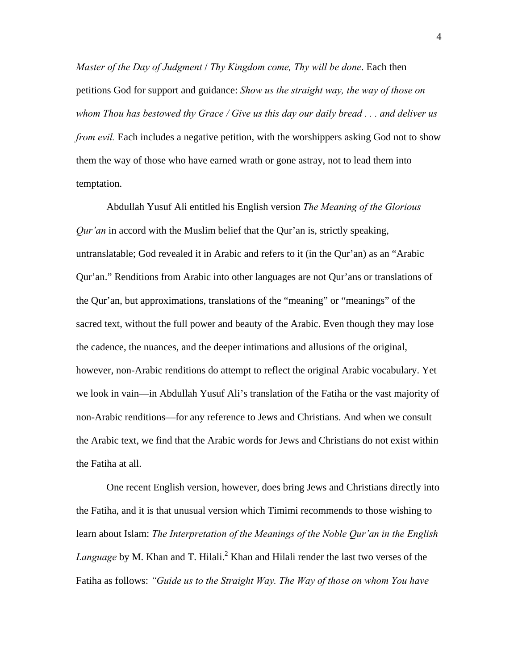*Master of the Day of Judgment* / *Thy Kingdom come, Thy will be done*. Each then petitions God for support and guidance: *Show us the straight way, the way of those on whom Thou has bestowed thy Grace / Give us this day our daily bread . . . and deliver us from evil.* Each includes a negative petition, with the worshippers asking God not to show them the way of those who have earned wrath or gone astray, not to lead them into temptation.

 Abdullah Yusuf Ali entitled his English version *The Meaning of the Glorious Qur'an* in accord with the Muslim belief that the Qur'an is, strictly speaking, untranslatable; God revealed it in Arabic and refers to it (in the Qur'an) as an "Arabic Qur'an." Renditions from Arabic into other languages are not Qur'ans or translations of the Qur'an, but approximations, translations of the "meaning" or "meanings" of the sacred text, without the full power and beauty of the Arabic. Even though they may lose the cadence, the nuances, and the deeper intimations and allusions of the original, however, non-Arabic renditions do attempt to reflect the original Arabic vocabulary. Yet we look in vain—in Abdullah Yusuf Ali's translation of the Fatiha or the vast majority of non-Arabic renditions—for any reference to Jews and Christians. And when we consult the Arabic text, we find that the Arabic words for Jews and Christians do not exist within the Fatiha at all.

 One recent English version, however, does bring Jews and Christians directly into the Fatiha, and it is that unusual version which Timimi recommends to those wishing to learn about Islam: *The Interpretation of the Meanings of the Noble Qur'an in the English*  Language by M. Khan and T. Hilali.<sup>2</sup> Khan and Hilali render the last two verses of the Fatiha as follows: *"Guide us to the Straight Way. The Way of those on whom You have*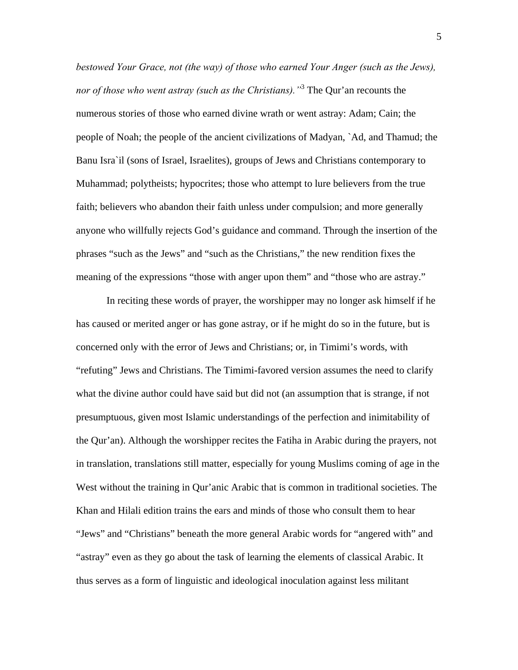*bestowed Your Grace, not (the way) of those who earned Your Anger (such as the Jews), nor of those who went astray (such as the Christians)."*<sup>3</sup> The Qur'an recounts the numerous stories of those who earned divine wrath or went astray: Adam; Cain; the people of Noah; the people of the ancient civilizations of Madyan, `Ad, and Thamud; the Banu Isra`il (sons of Israel, Israelites), groups of Jews and Christians contemporary to Muhammad; polytheists; hypocrites; those who attempt to lure believers from the true faith; believers who abandon their faith unless under compulsion; and more generally anyone who willfully rejects God's guidance and command. Through the insertion of the phrases "such as the Jews" and "such as the Christians," the new rendition fixes the meaning of the expressions "those with anger upon them" and "those who are astray."

In reciting these words of prayer, the worshipper may no longer ask himself if he has caused or merited anger or has gone astray, or if he might do so in the future, but is concerned only with the error of Jews and Christians; or, in Timimi's words, with "refuting" Jews and Christians. The Timimi-favored version assumes the need to clarify what the divine author could have said but did not (an assumption that is strange, if not presumptuous, given most Islamic understandings of the perfection and inimitability of the Qur'an). Although the worshipper recites the Fatiha in Arabic during the prayers, not in translation, translations still matter, especially for young Muslims coming of age in the West without the training in Qur'anic Arabic that is common in traditional societies. The Khan and Hilali edition trains the ears and minds of those who consult them to hear "Jews" and "Christians" beneath the more general Arabic words for "angered with" and "astray" even as they go about the task of learning the elements of classical Arabic. It thus serves as a form of linguistic and ideological inoculation against less militant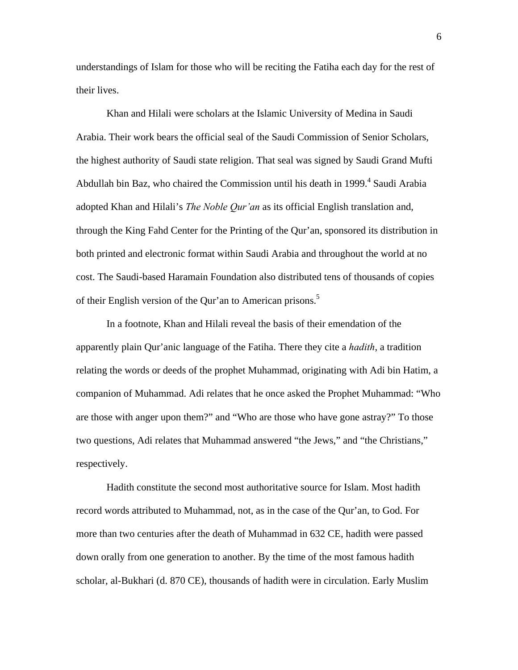understandings of Islam for those who will be reciting the Fatiha each day for the rest of their lives.

 Khan and Hilali were scholars at the Islamic University of Medina in Saudi Arabia. Their work bears the official seal of the Saudi Commission of Senior Scholars, the highest authority of Saudi state religion. That seal was signed by Saudi Grand Mufti Abdullah bin Baz, who chaired the Commission until his death in 1999.<sup>4</sup> Saudi Arabia adopted Khan and Hilali's *The Noble Qur'an* as its official English translation and, through the King Fahd Center for the Printing of the Qur'an, sponsored its distribution in both printed and electronic format within Saudi Arabia and throughout the world at no cost. The Saudi-based Haramain Foundation also distributed tens of thousands of copies of their English version of the Qur'an to American prisons.<sup>5</sup>

 In a footnote, Khan and Hilali reveal the basis of their emendation of the apparently plain Qur'anic language of the Fatiha. There they cite a *hadith*, a tradition relating the words or deeds of the prophet Muhammad, originating with Adi bin Hatim, a companion of Muhammad. Adi relates that he once asked the Prophet Muhammad: "Who are those with anger upon them?" and "Who are those who have gone astray?" To those two questions, Adi relates that Muhammad answered "the Jews," and "the Christians," respectively.

 Hadith constitute the second most authoritative source for Islam. Most hadith record words attributed to Muhammad, not, as in the case of the Qur'an, to God. For more than two centuries after the death of Muhammad in 632 CE, hadith were passed down orally from one generation to another. By the time of the most famous hadith scholar, al-Bukhari (d. 870 CE), thousands of hadith were in circulation. Early Muslim

6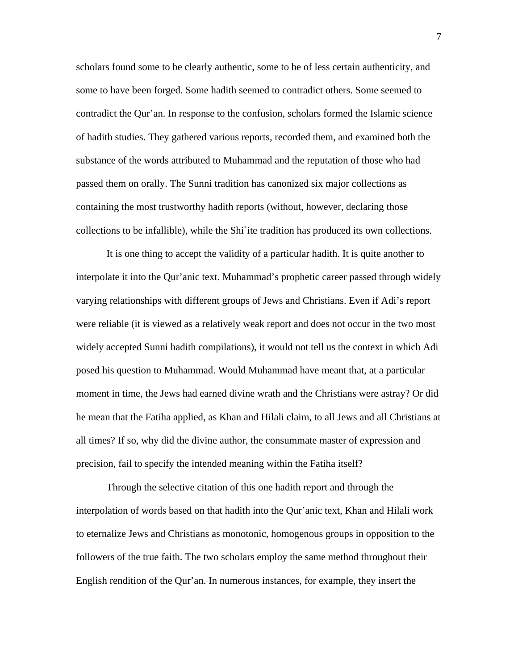scholars found some to be clearly authentic, some to be of less certain authenticity, and some to have been forged. Some hadith seemed to contradict others. Some seemed to contradict the Qur'an. In response to the confusion, scholars formed the Islamic science of hadith studies. They gathered various reports, recorded them, and examined both the substance of the words attributed to Muhammad and the reputation of those who had passed them on orally. The Sunni tradition has canonized six major collections as containing the most trustworthy hadith reports (without, however, declaring those collections to be infallible), while the Shi`ite tradition has produced its own collections.

 It is one thing to accept the validity of a particular hadith. It is quite another to interpolate it into the Qur'anic text. Muhammad's prophetic career passed through widely varying relationships with different groups of Jews and Christians. Even if Adi's report were reliable (it is viewed as a relatively weak report and does not occur in the two most widely accepted Sunni hadith compilations), it would not tell us the context in which Adi posed his question to Muhammad. Would Muhammad have meant that, at a particular moment in time, the Jews had earned divine wrath and the Christians were astray? Or did he mean that the Fatiha applied, as Khan and Hilali claim, to all Jews and all Christians at all times? If so, why did the divine author, the consummate master of expression and precision, fail to specify the intended meaning within the Fatiha itself?

 Through the selective citation of this one hadith report and through the interpolation of words based on that hadith into the Qur'anic text, Khan and Hilali work to eternalize Jews and Christians as monotonic, homogenous groups in opposition to the followers of the true faith. The two scholars employ the same method throughout their English rendition of the Qur'an. In numerous instances, for example, they insert the

7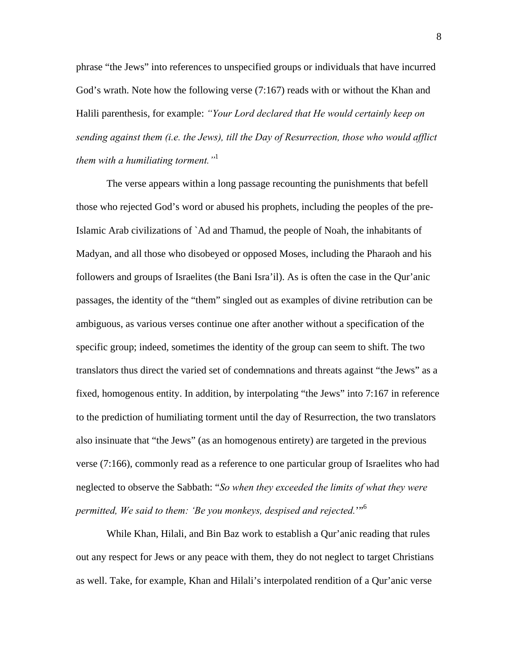phrase "the Jews" into references to unspecified groups or individuals that have incurred God's wrath. Note how the following verse (7:167) reads with or without the Khan and Halili parenthesis, for example: *"Your Lord declared that He would certainly keep on sending against them (i.e. the Jews), till the Day of Resurrection, those who would afflict them with a humiliating torment."*<sup>1</sup>

The verse appears within a long passage recounting the punishments that befell those who rejected God's word or abused his prophets, including the peoples of the pre-Islamic Arab civilizations of `Ad and Thamud, the people of Noah, the inhabitants of Madyan, and all those who disobeyed or opposed Moses, including the Pharaoh and his followers and groups of Israelites (the Bani Isra'il). As is often the case in the Qur'anic passages, the identity of the "them" singled out as examples of divine retribution can be ambiguous, as various verses continue one after another without a specification of the specific group; indeed, sometimes the identity of the group can seem to shift. The two translators thus direct the varied set of condemnations and threats against "the Jews" as a fixed, homogenous entity. In addition, by interpolating "the Jews" into 7:167 in reference to the prediction of humiliating torment until the day of Resurrection, the two translators also insinuate that "the Jews" (as an homogenous entirety) are targeted in the previous verse (7:166), commonly read as a reference to one particular group of Israelites who had neglected to observe the Sabbath: "*So when they exceeded the limits of what they were permitted, We said to them: 'Be you monkeys, despised and rejected.*'"6

 While Khan, Hilali, and Bin Baz work to establish a Qur'anic reading that rules out any respect for Jews or any peace with them, they do not neglect to target Christians as well. Take, for example, Khan and Hilali's interpolated rendition of a Qur'anic verse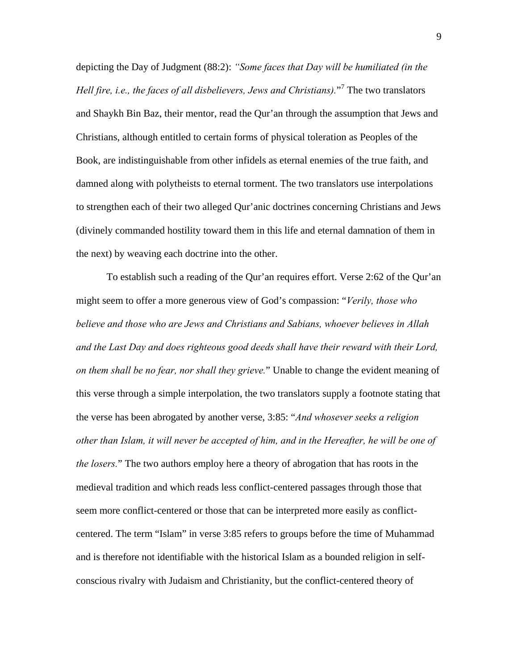depicting the Day of Judgment (88:2): *"Some faces that Day will be humiliated (in the*  Hell fire, *i.e., the faces of all disbelievers, Jews and Christians*)."<sup>7</sup> The two translators and Shaykh Bin Baz, their mentor, read the Qur'an through the assumption that Jews and Christians, although entitled to certain forms of physical toleration as Peoples of the Book, are indistinguishable from other infidels as eternal enemies of the true faith, and damned along with polytheists to eternal torment. The two translators use interpolations to strengthen each of their two alleged Qur'anic doctrines concerning Christians and Jews (divinely commanded hostility toward them in this life and eternal damnation of them in the next) by weaving each doctrine into the other.

 To establish such a reading of the Qur'an requires effort. Verse 2:62 of the Qur'an might seem to offer a more generous view of God's compassion: "*Verily, those who believe and those who are Jews and Christians and Sabians, whoever believes in Allah and the Last Day and does righteous good deeds shall have their reward with their Lord, on them shall be no fear, nor shall they grieve.*" Unable to change the evident meaning of this verse through a simple interpolation, the two translators supply a footnote stating that the verse has been abrogated by another verse, 3:85: "*And whosever seeks a religion other than Islam, it will never be accepted of him, and in the Hereafter, he will be one of the losers.*" The two authors employ here a theory of abrogation that has roots in the medieval tradition and which reads less conflict-centered passages through those that seem more conflict-centered or those that can be interpreted more easily as conflictcentered. The term "Islam" in verse 3:85 refers to groups before the time of Muhammad and is therefore not identifiable with the historical Islam as a bounded religion in selfconscious rivalry with Judaism and Christianity, but the conflict-centered theory of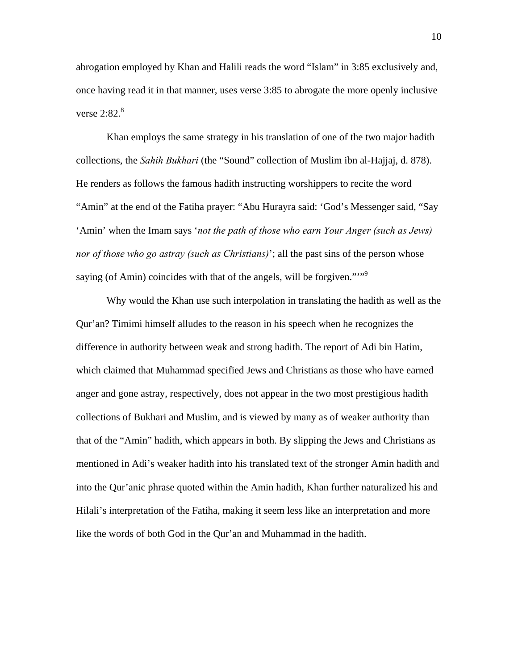abrogation employed by Khan and Halili reads the word "Islam" in 3:85 exclusively and, once having read it in that manner, uses verse 3:85 to abrogate the more openly inclusive verse  $2:82.^8$ 

 Khan employs the same strategy in his translation of one of the two major hadith collections, the *Sahih Bukhari* (the "Sound" collection of Muslim ibn al-Hajjaj, d. 878). He renders as follows the famous hadith instructing worshippers to recite the word "Amin" at the end of the Fatiha prayer: "Abu Hurayra said: 'God's Messenger said, "Say 'Amin' when the Imam says '*not the path of those who earn Your Anger (such as Jews) nor of those who go astray (such as Christians)*'; all the past sins of the person whose saying (of Amin) coincides with that of the angels, will be forgiven.""<sup>9</sup>

Why would the Khan use such interpolation in translating the hadith as well as the Qur'an? Timimi himself alludes to the reason in his speech when he recognizes the difference in authority between weak and strong hadith. The report of Adi bin Hatim, which claimed that Muhammad specified Jews and Christians as those who have earned anger and gone astray, respectively, does not appear in the two most prestigious hadith collections of Bukhari and Muslim, and is viewed by many as of weaker authority than that of the "Amin" hadith, which appears in both. By slipping the Jews and Christians as mentioned in Adi's weaker hadith into his translated text of the stronger Amin hadith and into the Qur'anic phrase quoted within the Amin hadith, Khan further naturalized his and Hilali's interpretation of the Fatiha, making it seem less like an interpretation and more like the words of both God in the Qur'an and Muhammad in the hadith.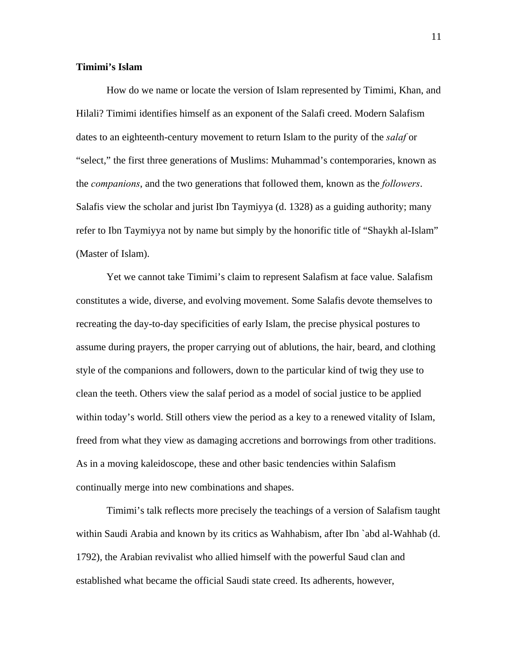### **Timimi's Islam**

How do we name or locate the version of Islam represented by Timimi, Khan, and Hilali? Timimi identifies himself as an exponent of the Salafi creed. Modern Salafism dates to an eighteenth-century movement to return Islam to the purity of the *salaf* or "select," the first three generations of Muslims: Muhammad's contemporaries, known as the *companions*, and the two generations that followed them, known as the *followers*. Salafis view the scholar and jurist Ibn Taymiyya (d. 1328) as a guiding authority; many refer to Ibn Taymiyya not by name but simply by the honorific title of "Shaykh al-Islam" (Master of Islam).

 Yet we cannot take Timimi's claim to represent Salafism at face value. Salafism constitutes a wide, diverse, and evolving movement. Some Salafis devote themselves to recreating the day-to-day specificities of early Islam, the precise physical postures to assume during prayers, the proper carrying out of ablutions, the hair, beard, and clothing style of the companions and followers, down to the particular kind of twig they use to clean the teeth. Others view the salaf period as a model of social justice to be applied within today's world. Still others view the period as a key to a renewed vitality of Islam, freed from what they view as damaging accretions and borrowings from other traditions. As in a moving kaleidoscope, these and other basic tendencies within Salafism continually merge into new combinations and shapes.

 Timimi's talk reflects more precisely the teachings of a version of Salafism taught within Saudi Arabia and known by its critics as Wahhabism, after Ibn `abd al-Wahhab (d. 1792), the Arabian revivalist who allied himself with the powerful Saud clan and established what became the official Saudi state creed. Its adherents, however,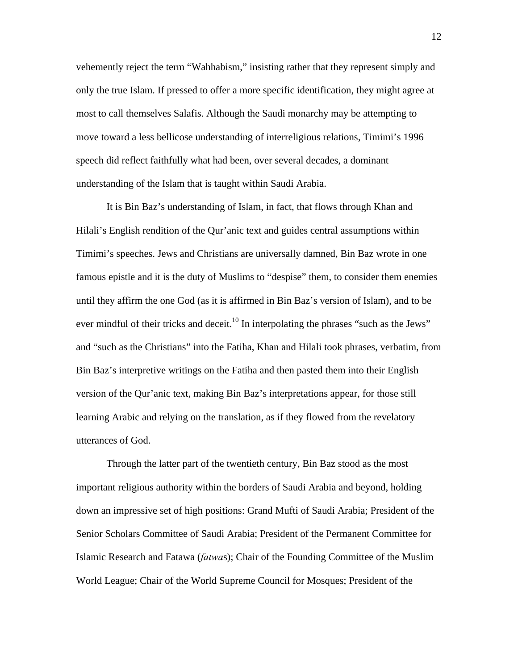vehemently reject the term "Wahhabism," insisting rather that they represent simply and only the true Islam. If pressed to offer a more specific identification, they might agree at most to call themselves Salafis. Although the Saudi monarchy may be attempting to move toward a less bellicose understanding of interreligious relations, Timimi's 1996 speech did reflect faithfully what had been, over several decades, a dominant understanding of the Islam that is taught within Saudi Arabia.

 It is Bin Baz's understanding of Islam, in fact, that flows through Khan and Hilali's English rendition of the Qur'anic text and guides central assumptions within Timimi's speeches. Jews and Christians are universally damned, Bin Baz wrote in one famous epistle and it is the duty of Muslims to "despise" them, to consider them enemies until they affirm the one God (as it is affirmed in Bin Baz's version of Islam), and to be ever mindful of their tricks and deceit.<sup>10</sup> In interpolating the phrases "such as the Jews" and "such as the Christians" into the Fatiha, Khan and Hilali took phrases, verbatim, from Bin Baz's interpretive writings on the Fatiha and then pasted them into their English version of the Qur'anic text, making Bin Baz's interpretations appear, for those still learning Arabic and relying on the translation, as if they flowed from the revelatory utterances of God.

 Through the latter part of the twentieth century, Bin Baz stood as the most important religious authority within the borders of Saudi Arabia and beyond, holding down an impressive set of high positions: Grand Mufti of Saudi Arabia; President of the Senior Scholars Committee of Saudi Arabia; President of the Permanent Committee for Islamic Research and Fatawa (*fatwa*s); Chair of the Founding Committee of the Muslim World League; Chair of the World Supreme Council for Mosques; President of the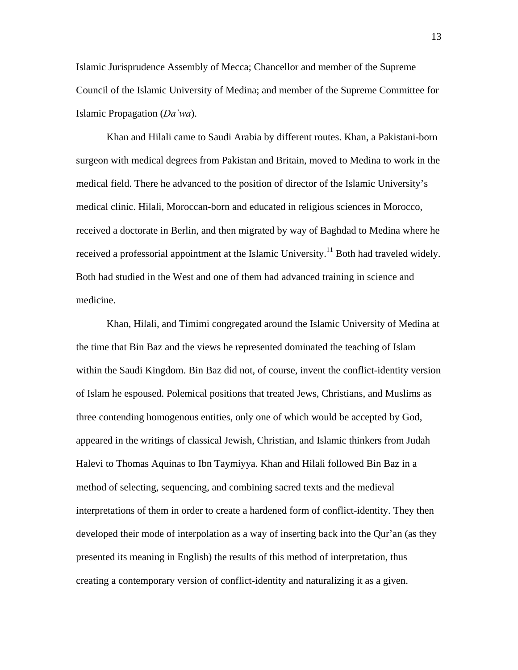Islamic Jurisprudence Assembly of Mecca; Chancellor and member of the Supreme Council of the Islamic University of Medina; and member of the Supreme Committee for Islamic Propagation (*Da`wa*).

 Khan and Hilali came to Saudi Arabia by different routes. Khan, a Pakistani-born surgeon with medical degrees from Pakistan and Britain, moved to Medina to work in the medical field. There he advanced to the position of director of the Islamic University's medical clinic. Hilali, Moroccan-born and educated in religious sciences in Morocco, received a doctorate in Berlin, and then migrated by way of Baghdad to Medina where he received a professorial appointment at the Islamic University.<sup>11</sup> Both had traveled widely. Both had studied in the West and one of them had advanced training in science and medicine.

 Khan, Hilali, and Timimi congregated around the Islamic University of Medina at the time that Bin Baz and the views he represented dominated the teaching of Islam within the Saudi Kingdom. Bin Baz did not, of course, invent the conflict-identity version of Islam he espoused. Polemical positions that treated Jews, Christians, and Muslims as three contending homogenous entities, only one of which would be accepted by God, appeared in the writings of classical Jewish, Christian, and Islamic thinkers from Judah Halevi to Thomas Aquinas to Ibn Taymiyya. Khan and Hilali followed Bin Baz in a method of selecting, sequencing, and combining sacred texts and the medieval interpretations of them in order to create a hardened form of conflict-identity. They then developed their mode of interpolation as a way of inserting back into the Qur'an (as they presented its meaning in English) the results of this method of interpretation, thus creating a contemporary version of conflict-identity and naturalizing it as a given.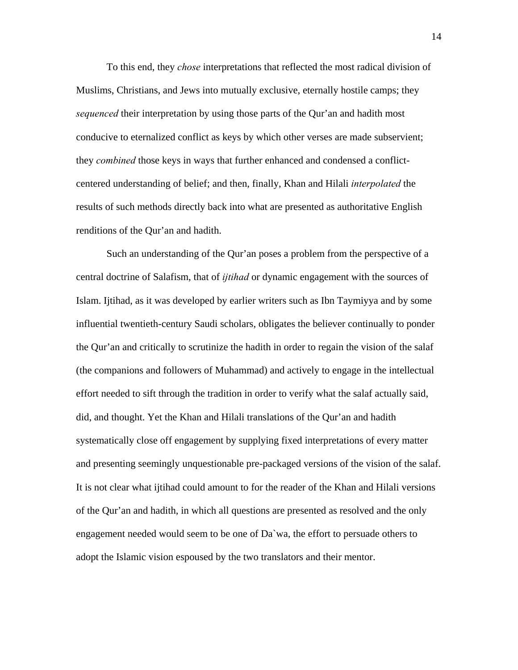To this end, they *chose* interpretations that reflected the most radical division of Muslims, Christians, and Jews into mutually exclusive, eternally hostile camps; they *sequenced* their interpretation by using those parts of the Qur'an and hadith most conducive to eternalized conflict as keys by which other verses are made subservient; they *combined* those keys in ways that further enhanced and condensed a conflictcentered understanding of belief; and then, finally, Khan and Hilali *interpolated* the results of such methods directly back into what are presented as authoritative English renditions of the Qur'an and hadith.

 Such an understanding of the Qur'an poses a problem from the perspective of a central doctrine of Salafism, that of *ijtihad* or dynamic engagement with the sources of Islam. Ijtihad, as it was developed by earlier writers such as Ibn Taymiyya and by some influential twentieth-century Saudi scholars, obligates the believer continually to ponder the Qur'an and critically to scrutinize the hadith in order to regain the vision of the salaf (the companions and followers of Muhammad) and actively to engage in the intellectual effort needed to sift through the tradition in order to verify what the salaf actually said, did, and thought. Yet the Khan and Hilali translations of the Qur'an and hadith systematically close off engagement by supplying fixed interpretations of every matter and presenting seemingly unquestionable pre-packaged versions of the vision of the salaf. It is not clear what ijtihad could amount to for the reader of the Khan and Hilali versions of the Qur'an and hadith, in which all questions are presented as resolved and the only engagement needed would seem to be one of Da`wa, the effort to persuade others to adopt the Islamic vision espoused by the two translators and their mentor.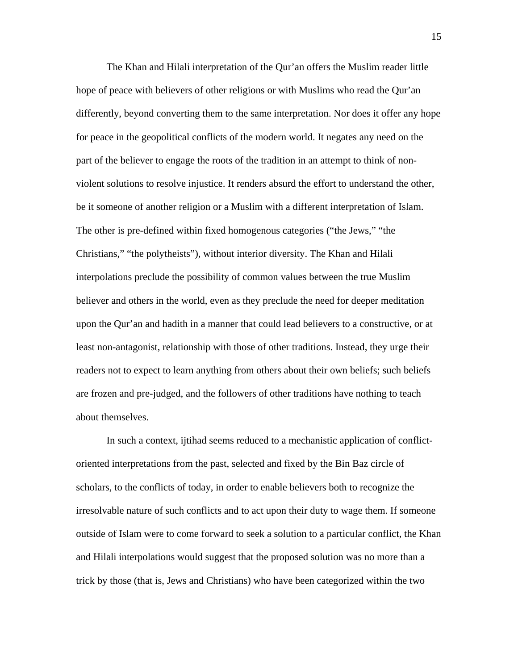The Khan and Hilali interpretation of the Qur'an offers the Muslim reader little hope of peace with believers of other religions or with Muslims who read the Qur'an differently, beyond converting them to the same interpretation. Nor does it offer any hope for peace in the geopolitical conflicts of the modern world. It negates any need on the part of the believer to engage the roots of the tradition in an attempt to think of nonviolent solutions to resolve injustice. It renders absurd the effort to understand the other, be it someone of another religion or a Muslim with a different interpretation of Islam. The other is pre-defined within fixed homogenous categories ("the Jews," "the Christians," "the polytheists"), without interior diversity. The Khan and Hilali interpolations preclude the possibility of common values between the true Muslim believer and others in the world, even as they preclude the need for deeper meditation upon the Qur'an and hadith in a manner that could lead believers to a constructive, or at least non-antagonist, relationship with those of other traditions. Instead, they urge their readers not to expect to learn anything from others about their own beliefs; such beliefs are frozen and pre-judged, and the followers of other traditions have nothing to teach about themselves.

In such a context, ijtihad seems reduced to a mechanistic application of conflictoriented interpretations from the past, selected and fixed by the Bin Baz circle of scholars, to the conflicts of today, in order to enable believers both to recognize the irresolvable nature of such conflicts and to act upon their duty to wage them. If someone outside of Islam were to come forward to seek a solution to a particular conflict, the Khan and Hilali interpolations would suggest that the proposed solution was no more than a trick by those (that is, Jews and Christians) who have been categorized within the two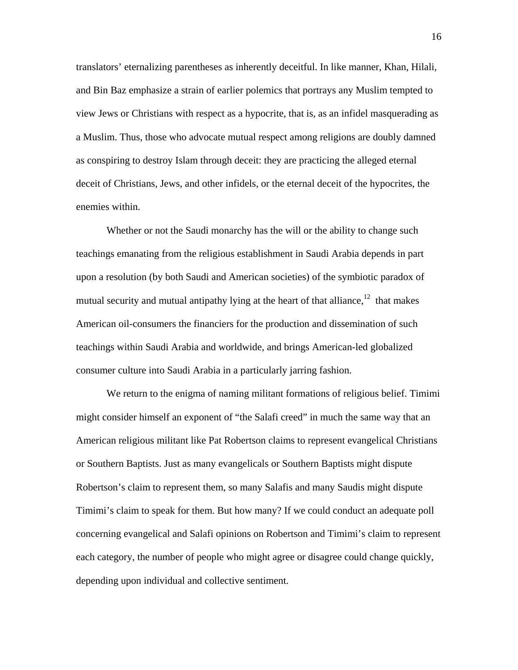translators' eternalizing parentheses as inherently deceitful. In like manner, Khan, Hilali, and Bin Baz emphasize a strain of earlier polemics that portrays any Muslim tempted to view Jews or Christians with respect as a hypocrite, that is, as an infidel masquerading as a Muslim. Thus, those who advocate mutual respect among religions are doubly damned as conspiring to destroy Islam through deceit: they are practicing the alleged eternal deceit of Christians, Jews, and other infidels, or the eternal deceit of the hypocrites, the enemies within.

 Whether or not the Saudi monarchy has the will or the ability to change such teachings emanating from the religious establishment in Saudi Arabia depends in part upon a resolution (by both Saudi and American societies) of the symbiotic paradox of mutual security and mutual antipathy lying at the heart of that alliance, $12$  that makes American oil-consumers the financiers for the production and dissemination of such teachings within Saudi Arabia and worldwide, and brings American-led globalized consumer culture into Saudi Arabia in a particularly jarring fashion.

 We return to the enigma of naming militant formations of religious belief. Timimi might consider himself an exponent of "the Salafi creed" in much the same way that an American religious militant like Pat Robertson claims to represent evangelical Christians or Southern Baptists. Just as many evangelicals or Southern Baptists might dispute Robertson's claim to represent them, so many Salafis and many Saudis might dispute Timimi's claim to speak for them. But how many? If we could conduct an adequate poll concerning evangelical and Salafi opinions on Robertson and Timimi's claim to represent each category, the number of people who might agree or disagree could change quickly, depending upon individual and collective sentiment.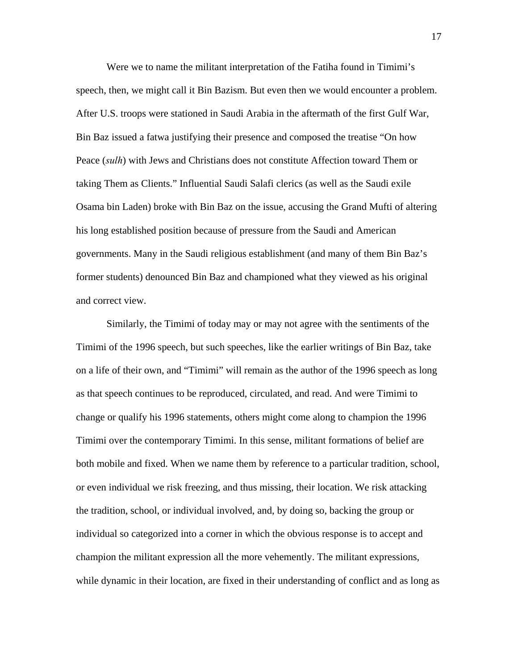Were we to name the militant interpretation of the Fatiha found in Timimi's speech, then, we might call it Bin Bazism. But even then we would encounter a problem. After U.S. troops were stationed in Saudi Arabia in the aftermath of the first Gulf War, Bin Baz issued a fatwa justifying their presence and composed the treatise "On how Peace (*sulh*) with Jews and Christians does not constitute Affection toward Them or taking Them as Clients." Influential Saudi Salafi clerics (as well as the Saudi exile Osama bin Laden) broke with Bin Baz on the issue, accusing the Grand Mufti of altering his long established position because of pressure from the Saudi and American governments. Many in the Saudi religious establishment (and many of them Bin Baz's former students) denounced Bin Baz and championed what they viewed as his original and correct view.

 Similarly, the Timimi of today may or may not agree with the sentiments of the Timimi of the 1996 speech, but such speeches, like the earlier writings of Bin Baz, take on a life of their own, and "Timimi" will remain as the author of the 1996 speech as long as that speech continues to be reproduced, circulated, and read. And were Timimi to change or qualify his 1996 statements, others might come along to champion the 1996 Timimi over the contemporary Timimi. In this sense, militant formations of belief are both mobile and fixed. When we name them by reference to a particular tradition, school, or even individual we risk freezing, and thus missing, their location. We risk attacking the tradition, school, or individual involved, and, by doing so, backing the group or individual so categorized into a corner in which the obvious response is to accept and champion the militant expression all the more vehemently. The militant expressions, while dynamic in their location, are fixed in their understanding of conflict and as long as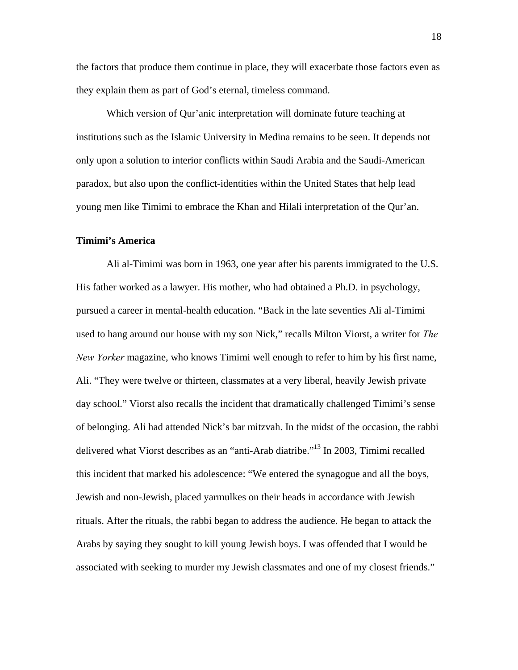the factors that produce them continue in place, they will exacerbate those factors even as they explain them as part of God's eternal, timeless command.

 Which version of Qur'anic interpretation will dominate future teaching at institutions such as the Islamic University in Medina remains to be seen. It depends not only upon a solution to interior conflicts within Saudi Arabia and the Saudi-American paradox, but also upon the conflict-identities within the United States that help lead young men like Timimi to embrace the Khan and Hilali interpretation of the Qur'an.

### **Timimi's America**

Ali al-Timimi was born in 1963, one year after his parents immigrated to the U.S. His father worked as a lawyer. His mother, who had obtained a Ph.D. in psychology, pursued a career in mental-health education. "Back in the late seventies Ali al-Timimi used to hang around our house with my son Nick," recalls Milton Viorst, a writer for *The New Yorker* magazine, who knows Timimi well enough to refer to him by his first name, Ali. "They were twelve or thirteen, classmates at a very liberal, heavily Jewish private day school." Viorst also recalls the incident that dramatically challenged Timimi's sense of belonging. Ali had attended Nick's bar mitzvah. In the midst of the occasion, the rabbi delivered what Viorst describes as an "anti-Arab diatribe."13 In 2003, Timimi recalled this incident that marked his adolescence: "We entered the synagogue and all the boys, Jewish and non-Jewish, placed yarmulkes on their heads in accordance with Jewish rituals. After the rituals, the rabbi began to address the audience. He began to attack the Arabs by saying they sought to kill young Jewish boys. I was offended that I would be associated with seeking to murder my Jewish classmates and one of my closest friends."

18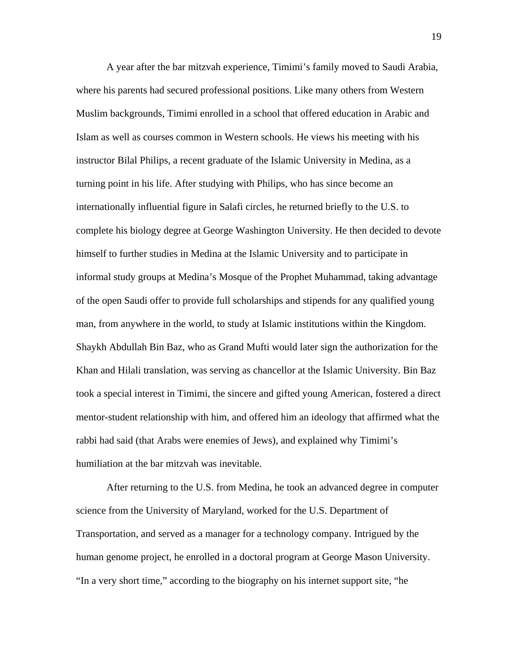A year after the bar mitzvah experience, Timimi's family moved to Saudi Arabia, where his parents had secured professional positions. Like many others from Western Muslim backgrounds, Timimi enrolled in a school that offered education in Arabic and Islam as well as courses common in Western schools. He views his meeting with his instructor Bilal Philips, a recent graduate of the Islamic University in Medina, as a turning point in his life. After studying with Philips, who has since become an internationally influential figure in Salafi circles, he returned briefly to the U.S. to complete his biology degree at George Washington University. He then decided to devote himself to further studies in Medina at the Islamic University and to participate in informal study groups at Medina's Mosque of the Prophet Muhammad, taking advantage of the open Saudi offer to provide full scholarships and stipends for any qualified young man, from anywhere in the world, to study at Islamic institutions within the Kingdom. Shaykh Abdullah Bin Baz, who as Grand Mufti would later sign the authorization for the Khan and Hilali translation, was serving as chancellor at the Islamic University. Bin Baz took a special interest in Timimi, the sincere and gifted young American, fostered a direct mentor-student relationship with him, and offered him an ideology that affirmed what the rabbi had said (that Arabs were enemies of Jews), and explained why Timimi's humiliation at the bar mitzvah was inevitable.

 After returning to the U.S. from Medina, he took an advanced degree in computer science from the University of Maryland, worked for the U.S. Department of Transportation, and served as a manager for a technology company. Intrigued by the human genome project, he enrolled in a doctoral program at George Mason University. "In a very short time," according to the biography on his internet support site, "he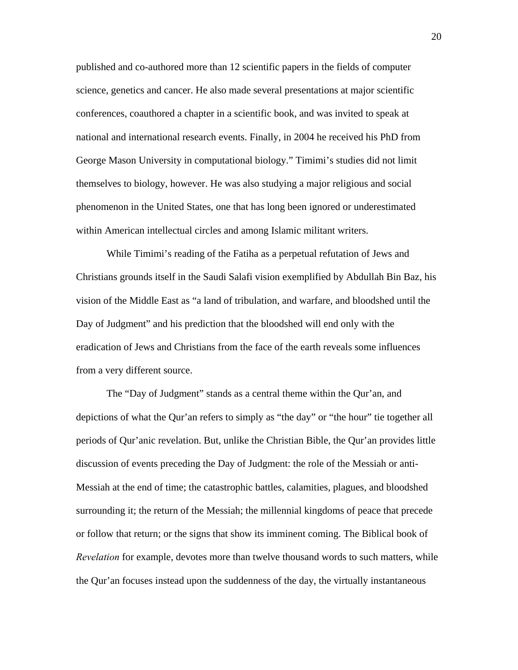published and co-authored more than 12 scientific papers in the fields of computer science, genetics and cancer. He also made several presentations at major scientific conferences, coauthored a chapter in a scientific book, and was invited to speak at national and international research events. Finally, in 2004 he received his PhD from George Mason University in computational biology." Timimi's studies did not limit themselves to biology, however. He was also studying a major religious and social phenomenon in the United States, one that has long been ignored or underestimated within American intellectual circles and among Islamic militant writers.

 While Timimi's reading of the Fatiha as a perpetual refutation of Jews and Christians grounds itself in the Saudi Salafi vision exemplified by Abdullah Bin Baz, his vision of the Middle East as "a land of tribulation, and warfare, and bloodshed until the Day of Judgment" and his prediction that the bloodshed will end only with the eradication of Jews and Christians from the face of the earth reveals some influences from a very different source.

 The "Day of Judgment" stands as a central theme within the Qur'an, and depictions of what the Qur'an refers to simply as "the day" or "the hour" tie together all periods of Qur'anic revelation. But, unlike the Christian Bible, the Qur'an provides little discussion of events preceding the Day of Judgment: the role of the Messiah or anti-Messiah at the end of time; the catastrophic battles, calamities, plagues, and bloodshed surrounding it; the return of the Messiah; the millennial kingdoms of peace that precede or follow that return; or the signs that show its imminent coming. The Biblical book of *Revelation* for example, devotes more than twelve thousand words to such matters, while the Qur'an focuses instead upon the suddenness of the day, the virtually instantaneous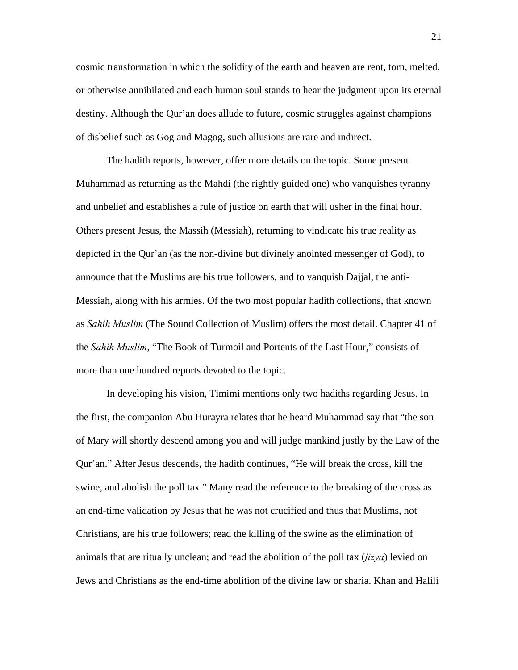cosmic transformation in which the solidity of the earth and heaven are rent, torn, melted, or otherwise annihilated and each human soul stands to hear the judgment upon its eternal destiny. Although the Qur'an does allude to future, cosmic struggles against champions of disbelief such as Gog and Magog, such allusions are rare and indirect.

 The hadith reports, however, offer more details on the topic. Some present Muhammad as returning as the Mahdi (the rightly guided one) who vanquishes tyranny and unbelief and establishes a rule of justice on earth that will usher in the final hour. Others present Jesus, the Massih (Messiah), returning to vindicate his true reality as depicted in the Qur'an (as the non-divine but divinely anointed messenger of God), to announce that the Muslims are his true followers, and to vanquish Dajjal, the anti-Messiah, along with his armies. Of the two most popular hadith collections, that known as *Sahih Muslim* (The Sound Collection of Muslim) offers the most detail. Chapter 41 of the *Sahih Muslim*, "The Book of Turmoil and Portents of the Last Hour," consists of more than one hundred reports devoted to the topic.

 In developing his vision, Timimi mentions only two hadiths regarding Jesus. In the first, the companion Abu Hurayra relates that he heard Muhammad say that "the son of Mary will shortly descend among you and will judge mankind justly by the Law of the Qur'an." After Jesus descends, the hadith continues, "He will break the cross, kill the swine, and abolish the poll tax." Many read the reference to the breaking of the cross as an end-time validation by Jesus that he was not crucified and thus that Muslims, not Christians, are his true followers; read the killing of the swine as the elimination of animals that are ritually unclean; and read the abolition of the poll tax (*jizya*) levied on Jews and Christians as the end-time abolition of the divine law or sharia. Khan and Halili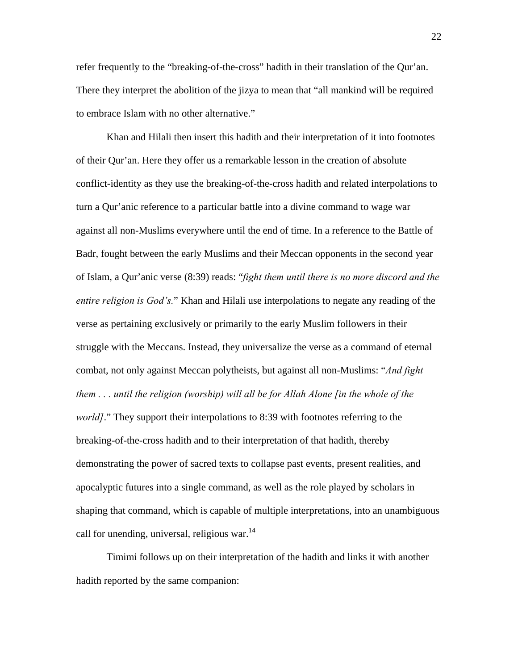refer frequently to the "breaking-of-the-cross" hadith in their translation of the Qur'an. There they interpret the abolition of the jizya to mean that "all mankind will be required to embrace Islam with no other alternative."

 Khan and Hilali then insert this hadith and their interpretation of it into footnotes of their Qur'an. Here they offer us a remarkable lesson in the creation of absolute conflict-identity as they use the breaking-of-the-cross hadith and related interpolations to turn a Qur'anic reference to a particular battle into a divine command to wage war against all non-Muslims everywhere until the end of time. In a reference to the Battle of Badr, fought between the early Muslims and their Meccan opponents in the second year of Islam, a Qur'anic verse (8:39) reads: "*fight them until there is no more discord and the entire religion is God's.*" Khan and Hilali use interpolations to negate any reading of the verse as pertaining exclusively or primarily to the early Muslim followers in their struggle with the Meccans. Instead, they universalize the verse as a command of eternal combat, not only against Meccan polytheists, but against all non-Muslims: "*And fight them . . . until the religion (worship) will all be for Allah Alone [in the whole of the world]*." They support their interpolations to 8:39 with footnotes referring to the breaking-of-the-cross hadith and to their interpretation of that hadith, thereby demonstrating the power of sacred texts to collapse past events, present realities, and apocalyptic futures into a single command, as well as the role played by scholars in shaping that command, which is capable of multiple interpretations, into an unambiguous call for unending, universal, religious war. $^{14}$ 

 Timimi follows up on their interpretation of the hadith and links it with another hadith reported by the same companion: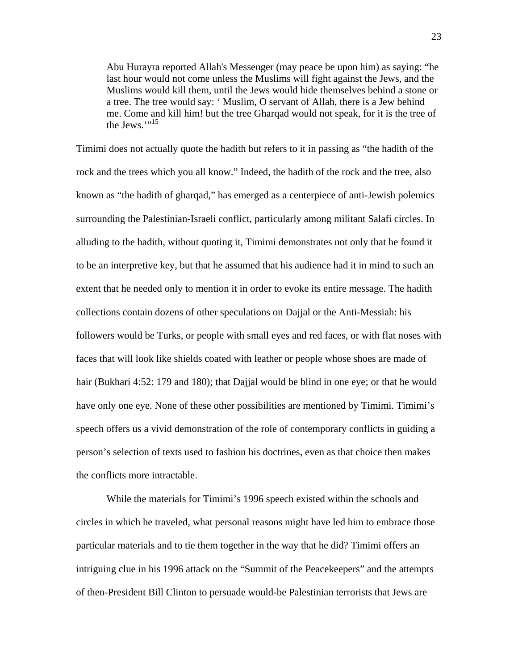Abu Hurayra reported Allah's Messenger (may peace be upon him) as saying: "he last hour would not come unless the Muslims will fight against the Jews, and the Muslims would kill them, until the Jews would hide themselves behind a stone or a tree. The tree would say: ' Muslim, O servant of Allah, there is a Jew behind me. Come and kill him! but the tree Gharqad would not speak, for it is the tree of the Jews." $^{15}$ 

Timimi does not actually quote the hadith but refers to it in passing as "the hadith of the rock and the trees which you all know." Indeed, the hadith of the rock and the tree, also known as "the hadith of gharqad," has emerged as a centerpiece of anti-Jewish polemics surrounding the Palestinian-Israeli conflict, particularly among militant Salafi circles. In alluding to the hadith, without quoting it, Timimi demonstrates not only that he found it to be an interpretive key, but that he assumed that his audience had it in mind to such an extent that he needed only to mention it in order to evoke its entire message. The hadith collections contain dozens of other speculations on Dajjal or the Anti-Messiah: his followers would be Turks, or people with small eyes and red faces, or with flat noses with faces that will look like shields coated with leather or people whose shoes are made of hair (Bukhari 4:52: 179 and 180); that Dajjal would be blind in one eye; or that he would have only one eye. None of these other possibilities are mentioned by Timimi. Timimi's speech offers us a vivid demonstration of the role of contemporary conflicts in guiding a person's selection of texts used to fashion his doctrines, even as that choice then makes the conflicts more intractable.

 While the materials for Timimi's 1996 speech existed within the schools and circles in which he traveled, what personal reasons might have led him to embrace those particular materials and to tie them together in the way that he did? Timimi offers an intriguing clue in his 1996 attack on the "Summit of the Peacekeepers" and the attempts of then-President Bill Clinton to persuade would-be Palestinian terrorists that Jews are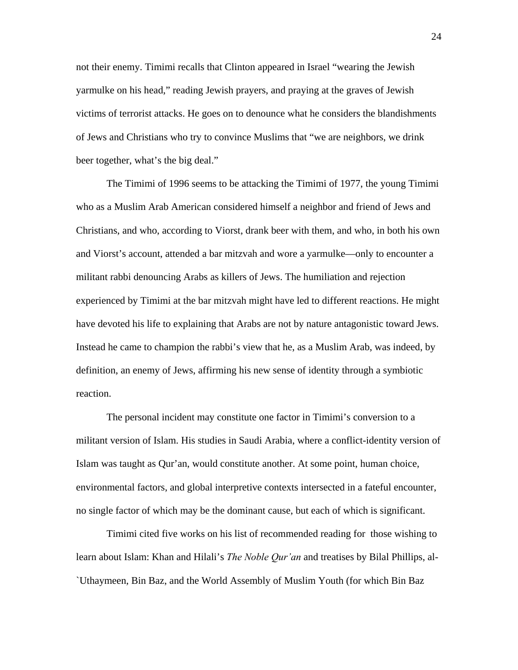not their enemy. Timimi recalls that Clinton appeared in Israel "wearing the Jewish yarmulke on his head," reading Jewish prayers, and praying at the graves of Jewish victims of terrorist attacks. He goes on to denounce what he considers the blandishments of Jews and Christians who try to convince Muslims that "we are neighbors, we drink beer together, what's the big deal."

 The Timimi of 1996 seems to be attacking the Timimi of 1977, the young Timimi who as a Muslim Arab American considered himself a neighbor and friend of Jews and Christians, and who, according to Viorst, drank beer with them, and who, in both his own and Viorst's account, attended a bar mitzvah and wore a yarmulke—only to encounter a militant rabbi denouncing Arabs as killers of Jews. The humiliation and rejection experienced by Timimi at the bar mitzvah might have led to different reactions. He might have devoted his life to explaining that Arabs are not by nature antagonistic toward Jews. Instead he came to champion the rabbi's view that he, as a Muslim Arab, was indeed, by definition, an enemy of Jews, affirming his new sense of identity through a symbiotic reaction.

 The personal incident may constitute one factor in Timimi's conversion to a militant version of Islam. His studies in Saudi Arabia, where a conflict-identity version of Islam was taught as Qur'an, would constitute another. At some point, human choice, environmental factors, and global interpretive contexts intersected in a fateful encounter, no single factor of which may be the dominant cause, but each of which is significant.

 Timimi cited five works on his list of recommended reading for those wishing to learn about Islam: Khan and Hilali's *The Noble Qur'an* and treatises by Bilal Phillips, al- `Uthaymeen, Bin Baz, and the World Assembly of Muslim Youth (for which Bin Baz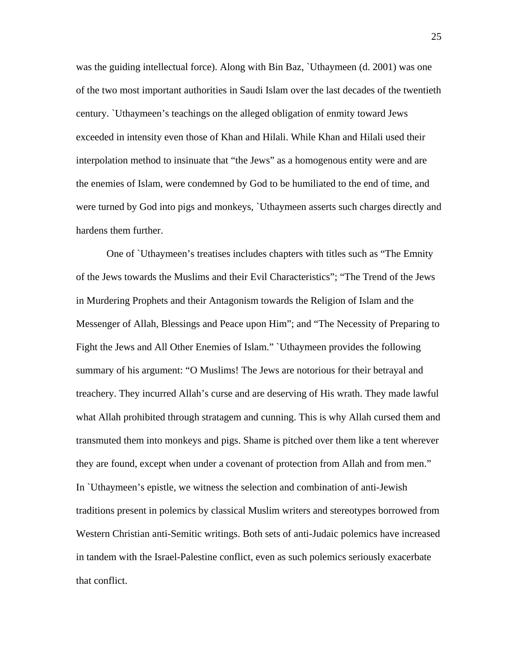was the guiding intellectual force). Along with Bin Baz, `Uthaymeen (d. 2001) was one of the two most important authorities in Saudi Islam over the last decades of the twentieth century. `Uthaymeen's teachings on the alleged obligation of enmity toward Jews exceeded in intensity even those of Khan and Hilali. While Khan and Hilali used their interpolation method to insinuate that "the Jews" as a homogenous entity were and are the enemies of Islam, were condemned by God to be humiliated to the end of time, and were turned by God into pigs and monkeys, `Uthaymeen asserts such charges directly and hardens them further.

 One of `Uthaymeen's treatises includes chapters with titles such as "The Emnity of the Jews towards the Muslims and their Evil Characteristics"; "The Trend of the Jews in Murdering Prophets and their Antagonism towards the Religion of Islam and the Messenger of Allah, Blessings and Peace upon Him"; and "The Necessity of Preparing to Fight the Jews and All Other Enemies of Islam." `Uthaymeen provides the following summary of his argument: "O Muslims! The Jews are notorious for their betrayal and treachery. They incurred Allah's curse and are deserving of His wrath. They made lawful what Allah prohibited through stratagem and cunning. This is why Allah cursed them and transmuted them into monkeys and pigs. Shame is pitched over them like a tent wherever they are found, except when under a covenant of protection from Allah and from men." In `Uthaymeen's epistle, we witness the selection and combination of anti-Jewish traditions present in polemics by classical Muslim writers and stereotypes borrowed from Western Christian anti-Semitic writings. Both sets of anti-Judaic polemics have increased in tandem with the Israel-Palestine conflict, even as such polemics seriously exacerbate that conflict.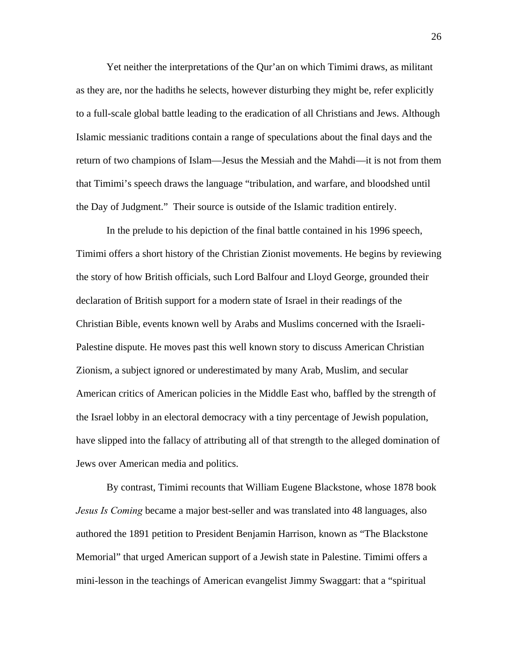Yet neither the interpretations of the Qur'an on which Timimi draws, as militant as they are, nor the hadiths he selects, however disturbing they might be, refer explicitly to a full-scale global battle leading to the eradication of all Christians and Jews. Although Islamic messianic traditions contain a range of speculations about the final days and the return of two champions of Islam—Jesus the Messiah and the Mahdi—it is not from them that Timimi's speech draws the language "tribulation, and warfare, and bloodshed until the Day of Judgment." Their source is outside of the Islamic tradition entirely.

 In the prelude to his depiction of the final battle contained in his 1996 speech, Timimi offers a short history of the Christian Zionist movements. He begins by reviewing the story of how British officials, such Lord Balfour and Lloyd George, grounded their declaration of British support for a modern state of Israel in their readings of the Christian Bible, events known well by Arabs and Muslims concerned with the Israeli-Palestine dispute. He moves past this well known story to discuss American Christian Zionism, a subject ignored or underestimated by many Arab, Muslim, and secular American critics of American policies in the Middle East who, baffled by the strength of the Israel lobby in an electoral democracy with a tiny percentage of Jewish population, have slipped into the fallacy of attributing all of that strength to the alleged domination of Jews over American media and politics.

 By contrast, Timimi recounts that William Eugene Blackstone, whose 1878 book *Jesus Is Coming* became a major best-seller and was translated into 48 languages, also authored the 1891 petition to President Benjamin Harrison, known as "The Blackstone Memorial" that urged American support of a Jewish state in Palestine. Timimi offers a mini-lesson in the teachings of American evangelist Jimmy Swaggart: that a "spiritual

26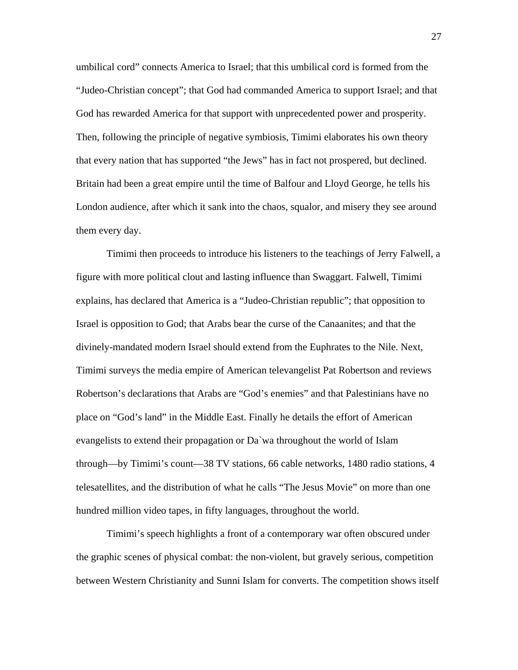umbilical cord" connects America to Israel; that this umbilical cord is formed from the "Judeo-Christian concept"; that God had commanded America to support Israel; and that God has rewarded America for that support with unprecedented power and prosperity. Then, following the principle of negative symbiosis, Timimi elaborates his own theory that every nation that has supported "the Jews" has in fact not prospered, but declined. Britain had been a great empire until the time of Balfour and Lloyd George, he tells his London audience, after which it sank into the chaos, squalor, and misery they see around them every day.

 Timimi then proceeds to introduce his listeners to the teachings of Jerry Falwell, a figure with more political clout and lasting influence than Swaggart. Falwell, Timimi explains, has declared that America is a "Judeo-Christian republic"; that opposition to Israel is opposition to God; that Arabs bear the curse of the Canaanites; and that the divinely-mandated modern Israel should extend from the Euphrates to the Nile. Next, Timimi surveys the media empire of American televangelist Pat Robertson and reviews Robertson's declarations that Arabs are "God's enemies" and that Palestinians have no place on "God's land" in the Middle East. Finally he details the effort of American evangelists to extend their propagation or Da`wa throughout the world of Islam through—by Timimi's count—38 TV stations, 66 cable networks, 1480 radio stations, 4 telesatellites, and the distribution of what he calls "The Jesus Movie" on more than one hundred million video tapes, in fifty languages, throughout the world.

 Timimi's speech highlights a front of a contemporary war often obscured under the graphic scenes of physical combat: the non-violent, but gravely serious, competition between Western Christianity and Sunni Islam for converts. The competition shows itself

27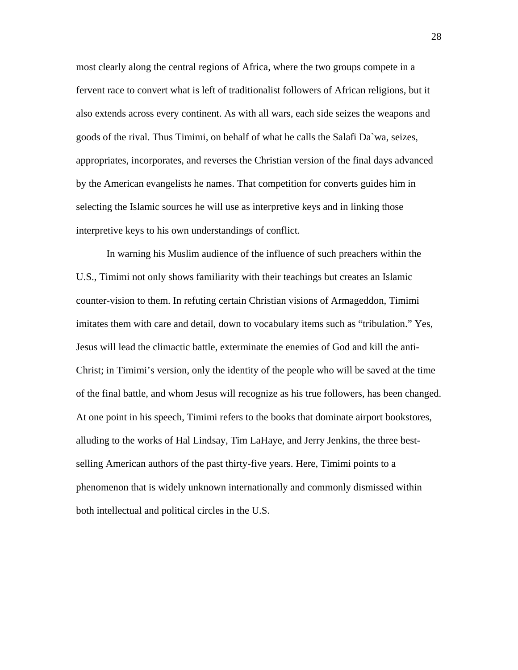most clearly along the central regions of Africa, where the two groups compete in a fervent race to convert what is left of traditionalist followers of African religions, but it also extends across every continent. As with all wars, each side seizes the weapons and goods of the rival. Thus Timimi, on behalf of what he calls the Salafi Da`wa, seizes, appropriates, incorporates, and reverses the Christian version of the final days advanced by the American evangelists he names. That competition for converts guides him in selecting the Islamic sources he will use as interpretive keys and in linking those interpretive keys to his own understandings of conflict.

 In warning his Muslim audience of the influence of such preachers within the U.S., Timimi not only shows familiarity with their teachings but creates an Islamic counter-vision to them. In refuting certain Christian visions of Armageddon, Timimi imitates them with care and detail, down to vocabulary items such as "tribulation." Yes, Jesus will lead the climactic battle, exterminate the enemies of God and kill the anti-Christ; in Timimi's version, only the identity of the people who will be saved at the time of the final battle, and whom Jesus will recognize as his true followers, has been changed. At one point in his speech, Timimi refers to the books that dominate airport bookstores, alluding to the works of Hal Lindsay, Tim LaHaye, and Jerry Jenkins, the three bestselling American authors of the past thirty-five years. Here, Timimi points to a phenomenon that is widely unknown internationally and commonly dismissed within both intellectual and political circles in the U.S.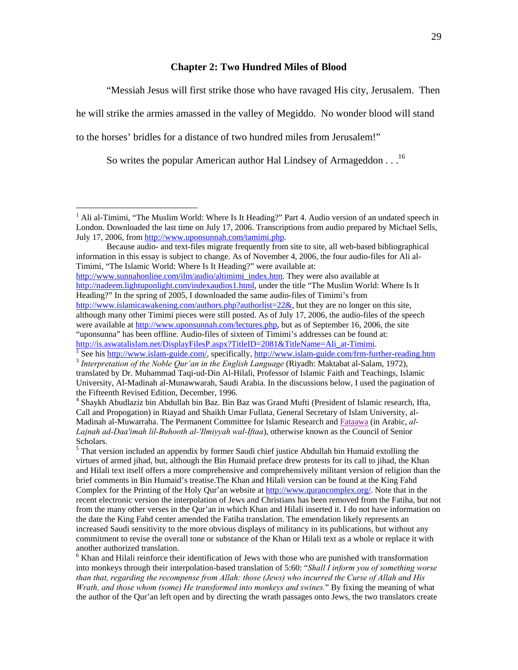# **Chapter 2: Two Hundred Miles of Blood**

"Messiah Jesus will first strike those who have ravaged His city, Jerusalem. Then

he will strike the armies amassed in the valley of Megiddo. No wonder blood will stand

to the horses' bridles for a distance of two hundred miles from Jerusalem!"

1

So writes the popular American author Hal Lindsey of Armageddon . . .16

Because audio- and text-files migrate frequently from site to site, all web-based bibliographical information in this essay is subject to change. As of November 4, 2006, the four audio-files for Ali al-Timimi, "The Islamic World: Where Is It Heading?" were available at:

http://www.sunnahonline.com/ilm/audio/altimimi\_index.htm. They were also available at http://nadeem.lightuponlight.com/indexaudios1.html, under the title "The Muslim World: Where Is It Heading?" In the spring of 2005, I downloaded the same audio-files of Timimi's from http://www.islamicawakening.com/authors.php?authorlist=22&, but they are no longer on this site,

<sup>&</sup>lt;sup>1</sup> Ali al-Timimi, "The Muslim World: Where Is It Heading?" Part 4. Audio version of an undated speech in London. Downloaded the last time on July 17, 2006. Transcriptions from audio prepared by Michael Sells, July 17, 2006, from http://www.uponsunnah.com/tamimi.php.

although many other Timimi pieces were still posted. As of July 17, 2006, the audio-files of the speech were available at http://www.uponsunnah.com/lectures.php, but as of September 16, 2006, the site "uponsunna" has been offline. Audio-files of sixteen of Timimi's addresses can be found at:

http://is.aswatalislam.net/DisplayFilesP.aspx?TitleID=2081&TitleName=Ali\_at-Timimi.<br>
<sup>2</sup> See his http://www.islam-guide.com/, specifically, http://www.islam-guide.com/frm-further-reading.htm

<sup>&</sup>lt;sup>3</sup> Interpretation of the Noble Our'an in the English Language (Riyadh: Maktabat al-Salam, 1972), translated by Dr. Muhammad Taqi-ud-Din Al-Hilali, Professor of Islamic Faith and Teachings, Islamic University, Al-Madinah al-Munawwarah, Saudi Arabia. In the discussions below, I used the pagination of the Fifteenth Revised Edition, December, 1996.

<sup>4</sup> Shaykh Abudlaziz bin Abdullah bin Baz. Bin Baz was Grand Mufti (President of Islamic research, Ifta, Call and Propogation) in Riayad and Shaikh Umar Fullata, General Secretary of Islam University, al-Madinah al-Muwarraha. The Permanent Committee for Islamic Research and Fataawa (in Arabic, *al-Lajnah ad-Daa'imah lil-Buhooth al-'Ilmiyyah wal-Iftaa*), otherwise known as the Council of Senior Scholars.

 $<sup>5</sup>$  That version included an appendix by former Saudi chief justice Abdullah bin Humaid extolling the</sup> virtues of armed jihad, but, although the Bin Humaid preface drew protests for its call to jihad, the Khan and Hilali text itself offers a more comprehensive and comprehensively militant version of religion than the brief comments in Bin Humaid's treatise.The Khan and Hilali version can be found at the King Fahd Complex for the Printing of the Holy Qur'an website at http://www.qurancomplex.org/. Note that in the recent electronic version the interpolation of Jews and Christians has been removed from the Fatiha, but not from the many other verses in the Qur'an in which Khan and Hilali inserted it. I do not have information on the date the King Fahd center amended the Fatiha translation. The emendation likely represents an increased Saudi sensitivity to the more obvious displays of militancy in its publications, but without any commitment to revise the overall tone or substance of the Khan or Hilali text as a whole or replace it with another authorized translation.

<sup>&</sup>lt;sup>6</sup> Khan and Hilali reinforce their identification of Jews with those who are punished with transformation into monkeys through their interpolation-based translation of 5:60: "*Shall I inform you of something worse than that, regarding the recompense from Allah: those (Jews) who incurred the Curse of Allah and His Wrath, and those whom (some) He transformed into monkeys and swines.*" By fixing the meaning of what the author of the Qur'an left open and by directing the wrath passages onto Jews, the two translators create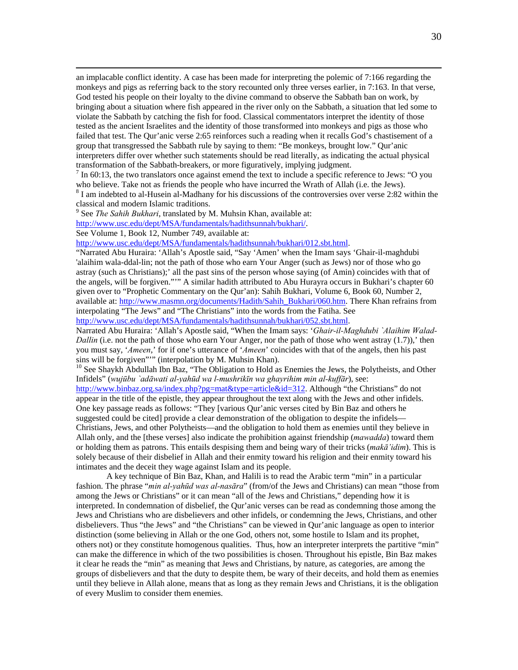an implacable conflict identity. A case has been made for interpreting the polemic of 7:166 regarding the monkeys and pigs as referring back to the story recounted only three verses earlier, in 7:163. In that verse, God tested his people on their loyalty to the divine command to observe the Sabbath ban on work, by bringing about a situation where fish appeared in the river only on the Sabbath, a situation that led some to violate the Sabbath by catching the fish for food. Classical commentators interpret the identity of those tested as the ancient Israelites and the identity of those transformed into monkeys and pigs as those who failed that test. The Qur'anic verse 2:65 reinforces such a reading when it recalls God's chastisement of a group that transgressed the Sabbath rule by saying to them: "Be monkeys, brought low." Qur'anic interpreters differ over whether such statements should be read literally, as indicating the actual physical transformation of the Sabbath-breakers, or more figuratively, implying judgment.

<sup>7</sup> In 60:13, the two translators once against emend the text to include a specific reference to Jews: "O you who believe. Take not as friends the people who have incurred the Wrath of Allah (i.e. the Jews).

 $8$  I am indebted to al-Husein al-Madhany for his discussions of the controversies over verse 2:82 within the classical and modern Islamic traditions.

9 See *The Sahih Bukhari*, translated by M. Muhsin Khan, available at:

http://www.usc.edu/dept/MSA/fundamentals/hadithsunnah/bukhari/.

See Volume 1, Book 12, Number 749, available at:

http://www.usc.edu/dept/MSA/fundamentals/hadithsunnah/bukhari/012.sbt.html.

"Narrated Abu Huraira: 'Allah's Apostle said, "Say 'Amen' when the Imam says 'Ghair-il-maghdubi 'alaihim wala-ddal-lin; not the path of those who earn Your Anger (such as Jews) nor of those who go astray (such as Christians);' all the past sins of the person whose saying (of Amin) coincides with that of the angels, will be forgiven."'" A similar hadith attributed to Abu Hurayra occurs in Bukhari's chapter 60 given over to "Prophetic Commentary on the Qur'an): Sahih Bukhari, Volume 6, Book 60, Number 2, available at: http://www.masmn.org/documents/Hadith/Sahih\_Bukhari/060.htm. There Khan refrains from interpolating "The Jews" and "The Christians" into the words from the Fatiha. See http://www.usc.edu/dept/MSA/fundamentals/hadithsunnah/bukhari/052.sbt.html.

Narrated Abu Huraira: 'Allah's Apostle said, "When the Imam says: '*Ghair-il-Maghdubi `Alaihim Walad-Dallin* (i.e. not the path of those who earn Your Anger, nor the path of those who went astray (1.7)),' then you must say, '*Ameen*,' for if one's utterance of '*Ameen*' coincides with that of the angels, then his past sins will be forgiven"'" (interpolation by M. Muhsin Khan).

<sup>10</sup> See Shaykh Abdullah Ibn Baz, "The Obligation to Hold as Enemies the Jews, the Polytheists, and Other Infidels" (*wujūbu `adāwati al-yahūd wa l-mushrikīn wa ghayrihim min al-kuffār*), see:

http://www.binbaz.org.sa/index.php?pg=mat&type=article&id=312. Although "the Christians" do not appear in the title of the epistle, they appear throughout the text along with the Jews and other infidels. One key passage reads as follows: "They [various Qur'anic verses cited by Bin Baz and others he suggested could be cited] provide a clear demonstration of the obligation to despite the infidels— Christians, Jews, and other Polytheists—and the obligation to hold them as enemies until they believe in Allah only, and the [these verses] also indicate the prohibition against friendship (*mawadda*) toward them or holding them as patrons. This entails despising them and being wary of their tricks (*makā'idim*). This is solely because of their disbelief in Allah and their enmity toward his religion and their enmity toward his intimates and the deceit they wage against Islam and its people.

A key technique of Bin Baz, Khan, and Halili is to read the Arabic term "min" in a particular fashion. The phrase "*min al-yahūd was al-nasāra*" (from/of the Jews and Christians) can mean "those from among the Jews or Christians" or it can mean "all of the Jews and Christians," depending how it is interpreted. In condemnation of disbelief, the Qur'anic verses can be read as condemning those among the Jews and Christians who are disbelievers and other infidels, or condemning the Jews, Christians, and other disbelievers. Thus "the Jews" and "the Christians" can be viewed in Qur'anic language as open to interior distinction (some believing in Allah or the one God, others not, some hostile to Islam and its prophet, others not) or they constitute homogenous qualities. Thus, how an interpreter interprets the partitive "min" can make the difference in which of the two possibilities is chosen. Throughout his epistle, Bin Baz makes it clear he reads the "min" as meaning that Jews and Christians, by nature, as categories, are among the groups of disbelievers and that the duty to despite them, be wary of their deceits, and hold them as enemies until they believe in Allah alone, means that as long as they remain Jews and Christians, it is the obligation of every Muslim to consider them enemies.